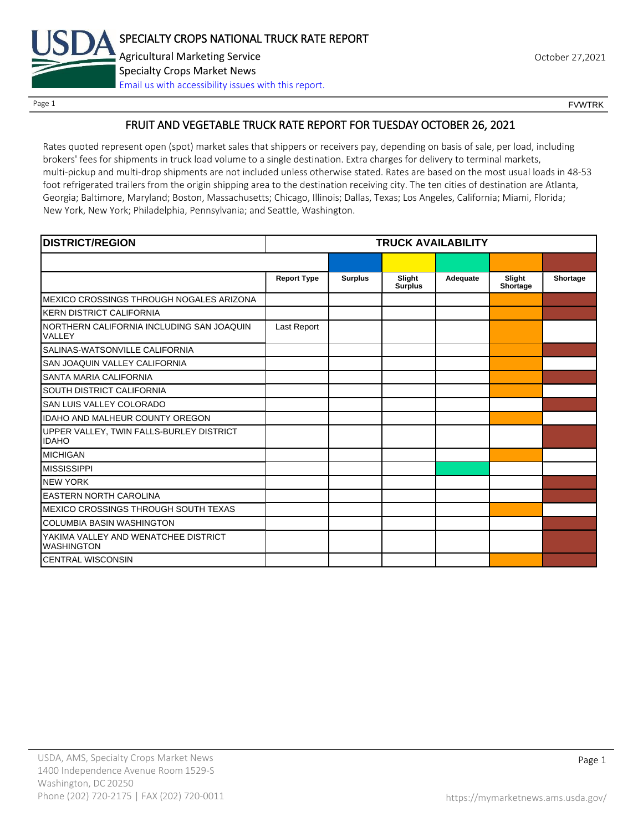

Page 1 FOUNTRK CONTROL CONTROL CONTROL CONTROL CONTROL CONTROL CONTROL CONTROL CONTROL CONTROL CONTROL CONTROL CONTROL CONTROL CONTROL CONTROL CONTROL CONTROL CONTROL CONTROL CONTROL CONTROL CONTROL CONTROL CONTROL CONTROL

### FRUIT AND VEGETABLE TRUCK RATE REPORT FOR TUESDAY OCTOBER 26, 2021

Rates quoted represent open (spot) market sales that shippers or receivers pay, depending on basis of sale, per load, including brokers' fees for shipments in truck load volume to a single destination. Extra charges for delivery to terminal markets, multi-pickup and multi-drop shipments are not included unless otherwise stated. Rates are based on the most usual loads in 48-53 foot refrigerated trailers from the origin shipping area to the destination receiving city. The ten cities of destination are Atlanta, Georgia; Baltimore, Maryland; Boston, Massachusetts; Chicago, Illinois; Dallas, Texas; Los Angeles, California; Miami, Florida; New York, New York; Philadelphia, Pennsylvania; and Seattle, Washington.

| <b>DISTRICT/REGION</b>                                    |                    |                | <b>TRUCK AVAILABILITY</b> |          |                    |          |
|-----------------------------------------------------------|--------------------|----------------|---------------------------|----------|--------------------|----------|
|                                                           |                    |                |                           |          |                    |          |
|                                                           | <b>Report Type</b> | <b>Surplus</b> | Slight<br><b>Surplus</b>  | Adequate | Slight<br>Shortage | Shortage |
| MEXICO CROSSINGS THROUGH NOGALES ARIZONA                  |                    |                |                           |          |                    |          |
| <b>KERN DISTRICT CALIFORNIA</b>                           |                    |                |                           |          |                    |          |
| NORTHERN CALIFORNIA INCLUDING SAN JOAQUIN<br>VALLEY       | Last Report        |                |                           |          |                    |          |
| SALINAS-WATSONVILLE CALIFORNIA                            |                    |                |                           |          |                    |          |
| SAN JOAQUIN VALLEY CALIFORNIA                             |                    |                |                           |          |                    |          |
| SANTA MARIA CALIFORNIA                                    |                    |                |                           |          |                    |          |
| SOUTH DISTRICT CALIFORNIA                                 |                    |                |                           |          |                    |          |
| SAN LUIS VALLEY COLORADO                                  |                    |                |                           |          |                    |          |
| IDAHO AND MALHEUR COUNTY OREGON                           |                    |                |                           |          |                    |          |
| UPPER VALLEY, TWIN FALLS-BURLEY DISTRICT<br><b>IDAHO</b>  |                    |                |                           |          |                    |          |
| <b>MICHIGAN</b>                                           |                    |                |                           |          |                    |          |
| <b>MISSISSIPPI</b>                                        |                    |                |                           |          |                    |          |
| <b>NEW YORK</b>                                           |                    |                |                           |          |                    |          |
| <b>EASTERN NORTH CAROLINA</b>                             |                    |                |                           |          |                    |          |
| MEXICO CROSSINGS THROUGH SOUTH TEXAS                      |                    |                |                           |          |                    |          |
| <b>COLUMBIA BASIN WASHINGTON</b>                          |                    |                |                           |          |                    |          |
| YAKIMA VALLEY AND WENATCHEE DISTRICT<br><b>WASHINGTON</b> |                    |                |                           |          |                    |          |
| <b>CENTRAL WISCONSIN</b>                                  |                    |                |                           |          |                    |          |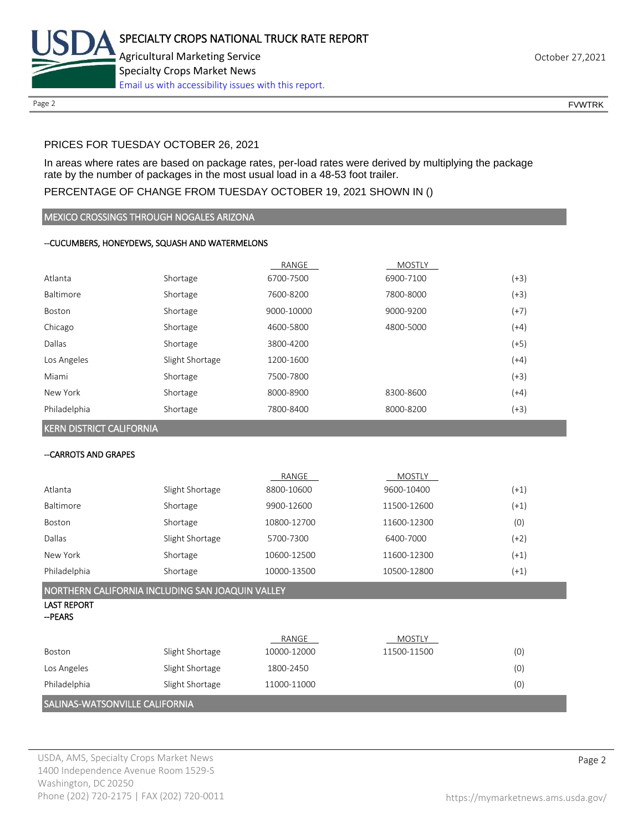

Page 2 FOUNTRK CONTROL CONTROL CONTROL CONTROL CONTROL CONTROL CONTROL CONTROL CONTROL CONTROL CONTROL CONTROL CONTROL CONTROL CONTROL CONTROL CONTROL CONTROL CONTROL CONTROL CONTROL CONTROL CONTROL CONTROL CONTROL CONTROL

## PRICES FOR TUESDAY OCTOBER 26, 2021

In areas where rates are based on package rates, per-load rates were derived by multiplying the package rate by the number of packages in the most usual load in a 48-53 foot trailer.

## PERCENTAGE OF CHANGE FROM TUESDAY OCTOBER 19, 2021 SHOWN IN ()

MEXICO CROSSINGS THROUGH NOGALES ARIZONA

### --CUCUMBERS, HONEYDEWS, SQUASH AND WATERMELONS

|              |                 | RANGE      | <b>MOSTLY</b> |        |
|--------------|-----------------|------------|---------------|--------|
| Atlanta      | Shortage        | 6700-7500  | 6900-7100     | $(+3)$ |
| Baltimore    | Shortage        | 7600-8200  | 7800-8000     | $(+3)$ |
| Boston       | Shortage        | 9000-10000 | 9000-9200     | $(+7)$ |
| Chicago      | Shortage        | 4600-5800  | 4800-5000     | (+4)   |
| Dallas       | Shortage        | 3800-4200  |               | (+5)   |
| Los Angeles  | Slight Shortage | 1200-1600  |               | $(+4)$ |
| Miami        | Shortage        | 7500-7800  |               | $(+3)$ |
| New York     | Shortage        | 8000-8900  | 8300-8600     | (+4)   |
| Philadelphia | Shortage        | 7800-8400  | 8000-8200     | (+3)   |

KERN DISTRICT CALIFORNIA

#### --CARROTS AND GRAPES

|              |                 | RANGE       | <b>MOSTLY</b> |        |
|--------------|-----------------|-------------|---------------|--------|
| Atlanta      | Slight Shortage | 8800-10600  | 9600-10400    | $(+1)$ |
| Baltimore    | Shortage        | 9900-12600  | 11500-12600   | $(+1)$ |
| Boston       | Shortage        | 10800-12700 | 11600-12300   | (0)    |
| Dallas       | Slight Shortage | 5700-7300   | 6400-7000     | (+2)   |
| New York     | Shortage        | 10600-12500 | 11600-12300   | $(+1)$ |
| Philadelphia | Shortage        | 10000-13500 | 10500-12800   | $(+1)$ |

## NORTHERN CALIFORNIA INCLUDING SAN JOAQUIN VALLEY

#### LAST REPORT --PEARS

|                                |                 | RANGE       | MOSTLY      |     |  |
|--------------------------------|-----------------|-------------|-------------|-----|--|
| Boston                         | Slight Shortage | 10000-12000 | 11500-11500 | (0) |  |
| Los Angeles                    | Slight Shortage | 1800-2450   |             | (0) |  |
| Philadelphia                   | Slight Shortage | 11000-11000 |             | (0) |  |
| SALINAS-WATSONVILLE CALIFORNIA |                 |             |             |     |  |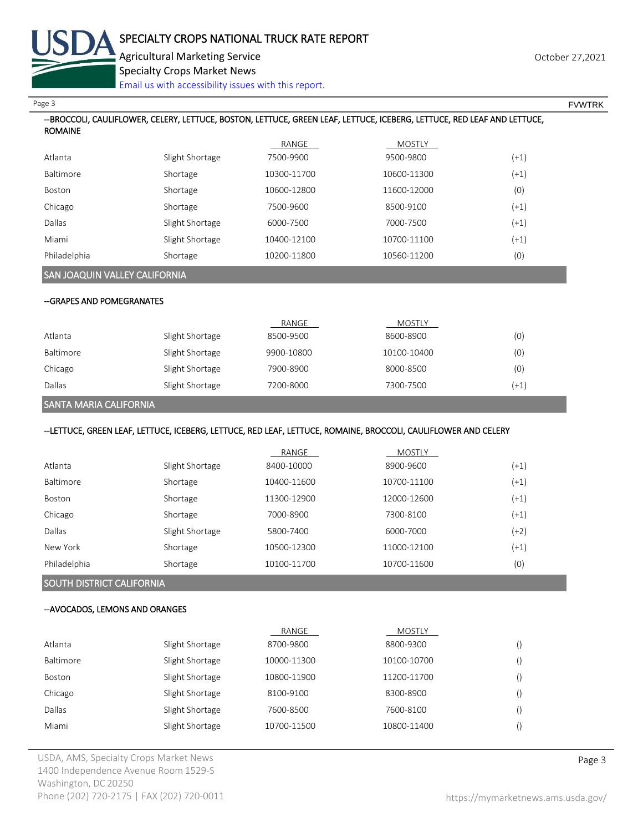

## --BROCCOLI, CAULIFLOWER, CELERY, LETTUCE, BOSTON, LETTUCE, GREEN LEAF, LETTUCE, ICEBERG, LETTUCE, RED LEAF AND LETTUCE, ROMAINE RANGE MOSTLY Atlanta Slight Shortage 7500-9900 9500-9800 (+1) Baltimore Shortage 10300-11700 10600-11300 (+1) Boston Shortage 10600-12800 11600-12000 (0) Chicago Shortage 7500-9600 8500-9100 (+1) Dallas Slight Shortage 6000-7500 7000-7500 (+1) Miami Slight Shortage 10400-12100 10700-11100 (+1) Philadelphia Shortage 10200-11800 10560-11200 (0) SAN JOAQUIN VALLEY CALIFORNIA --GRAPES AND POMEGRANATES RANGE MOSTLY Atlanta Slight Shortage 8500-9500 8600-8900 (0) Baltimore 3light Shortage 9900-10800 10100-10400 10100-10400 (0) Chicago Slight Shortage 7900-8900 8000-8500 (0) Dallas Slight Shortage 7200-8000 7300-7500 (+1) SANTA MARIA CALIFORNIA --LETTUCE, GREEN LEAF, LETTUCE, ICEBERG, LETTUCE, RED LEAF, LETTUCE, ROMAINE, BROCCOLI, CAULIFLOWER AND CELERY RANGE MOSTLY Atlanta Slight Shortage 8400-10000 8900-9600 (+1) Baltimore Shortage 10400-11600 10700-11100 (+1) Boston Shortage 11300-12900 12000-12600 (+1) Chicago Shortage 7000-8900 7300-8100 (+1) Dallas Slight Shortage 5800-7400 6000-7000 (+2) New York Shortage 10500-12300 11000-12100 (+1) Philadelphia Shortage 10100-11700 10700-11600 (0) SOUTH DISTRICT CALIFORNIA --AVOCADOS, LEMONS AND ORANGES RANGE MOSTLY Atlanta Slight Shortage 8700-9800 8800-9300 () Baltimore Slight Shortage 10000-11300 10100-10700 () Boston Slight Shortage 10800-11900 11200-11700 () Chicago Slight Shortage 8100-9100 8300-8900 () Dallas Slight Shortage 7600-8500 7600-8100 () Miami Slight Shortage 10700-11500 10800-11400 () Page 3 FOUNTRK And the set of the set of the set of the set of the set of the set of the set of the set of the set of the set of the set of the set of the set of the set of the set of the set of the set of the set of the s Agricultural Marketing Service October 27,2021 Specialty Crops Market News [Email us with accessibility issues with this report.](mailto:mars@ams.usda.gov?subject=508%20Inquiry/Report)

USDA, AMS, Specialty Crops Market News **Page 3** 1400 Independence Avenue Room 1529-S Washington, DC 20250 Phone (202) 720-2175 | FAX (202) 720-0011 <https://mymarketnews.ams.usda.gov/>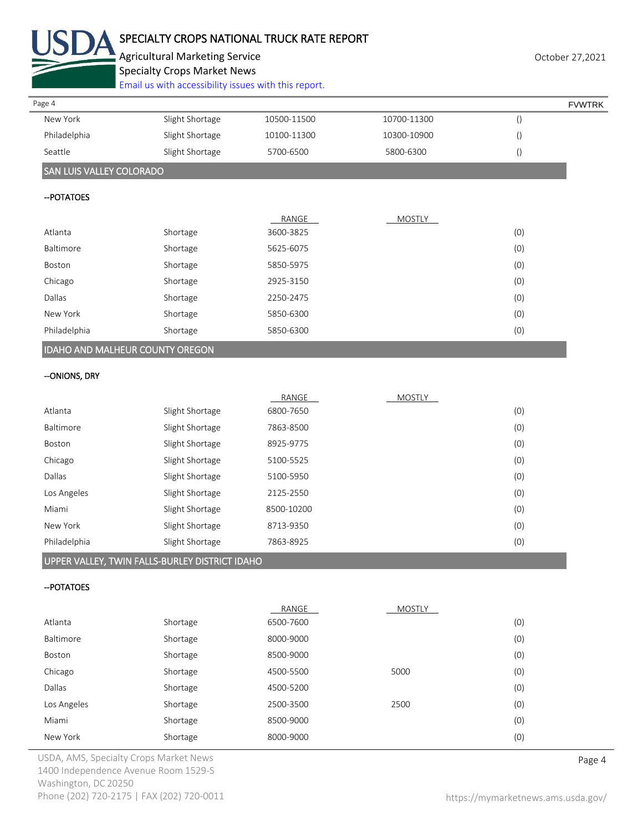

## SPECIALTY CROPS NATIONAL TRUCK RATE REPORT

Agricultural Marketing Service **Agricultural Marketing Service** Agricultural Marketing Service

Specialty Crops Market News

[Email us with accessibility issues with this report.](mailto:mars@ams.usda.gov?subject=508%20Inquiry/Report)

| Page 4                          |                 |             |             | <b>FVWTRK</b> |
|---------------------------------|-----------------|-------------|-------------|---------------|
| New York                        | Slight Shortage | 10500-11500 | 10700-11300 |               |
| Philadelphia                    | Slight Shortage | 10100-11300 | 10300-10900 |               |
| Seattle                         | Slight Shortage | 5700-6500   | 5800-6300   |               |
| <b>SAN LUIS VALLEY COLORADO</b> |                 |             |             |               |

#### --POTATOES

|                                        |          | RANGE     | <b>MOSTLY</b> |     |
|----------------------------------------|----------|-----------|---------------|-----|
| Atlanta                                | Shortage | 3600-3825 |               | (0) |
| Baltimore                              | Shortage | 5625-6075 |               | (0) |
| Boston                                 | Shortage | 5850-5975 |               | (0) |
| Chicago                                | Shortage | 2925-3150 |               | (0) |
| Dallas                                 | Shortage | 2250-2475 |               | (0) |
| New York                               | Shortage | 5850-6300 |               | (0) |
| Philadelphia                           | Shortage | 5850-6300 |               | (0) |
| <b>IDAHO AND MALHEUR COUNTY OREGON</b> |          |           |               |     |

#### --ONIONS, DRY

|                  |                 | RANGE      | <b>MOSTLY</b> |     |
|------------------|-----------------|------------|---------------|-----|
| Atlanta          | Slight Shortage | 6800-7650  |               | (0) |
| <b>Baltimore</b> | Slight Shortage | 7863-8500  |               | (0) |
| Boston           | Slight Shortage | 8925-9775  |               | (0) |
| Chicago          | Slight Shortage | 5100-5525  |               | (0) |
| Dallas           | Slight Shortage | 5100-5950  |               | (0) |
| Los Angeles      | Slight Shortage | 2125-2550  |               | (0) |
| Miami            | Slight Shortage | 8500-10200 |               | (0) |
| New York         | Slight Shortage | 8713-9350  |               | (0) |
| Philadelphia     | Slight Shortage | 7863-8925  |               | (0) |
|                  |                 |            |               |     |

#### UPPER VALLEY, TWIN FALLS-BURLEY DISTRICT IDAHO

#### --POTATOES

|             |          | RANGE     | <b>MOSTLY</b> |     |
|-------------|----------|-----------|---------------|-----|
| Atlanta     | Shortage | 6500-7600 |               | (0) |
| Baltimore   | Shortage | 8000-9000 |               | (0) |
| Boston      | Shortage | 8500-9000 |               | (0) |
| Chicago     | Shortage | 4500-5500 | 5000          | (0) |
| Dallas      | Shortage | 4500-5200 |               | (0) |
| Los Angeles | Shortage | 2500-3500 | 2500          | (0) |
| Miami       | Shortage | 8500-9000 |               | (0) |
| New York    | Shortage | 8000-9000 |               | (0) |

USDA, AMS, Specialty Crops Market News **Page 4** 1400 Independence Avenue Room 1529-S Washington, DC 20250 Phone (202) 720-2175 | FAX (202) 720-0011 <https://mymarketnews.ams.usda.gov/>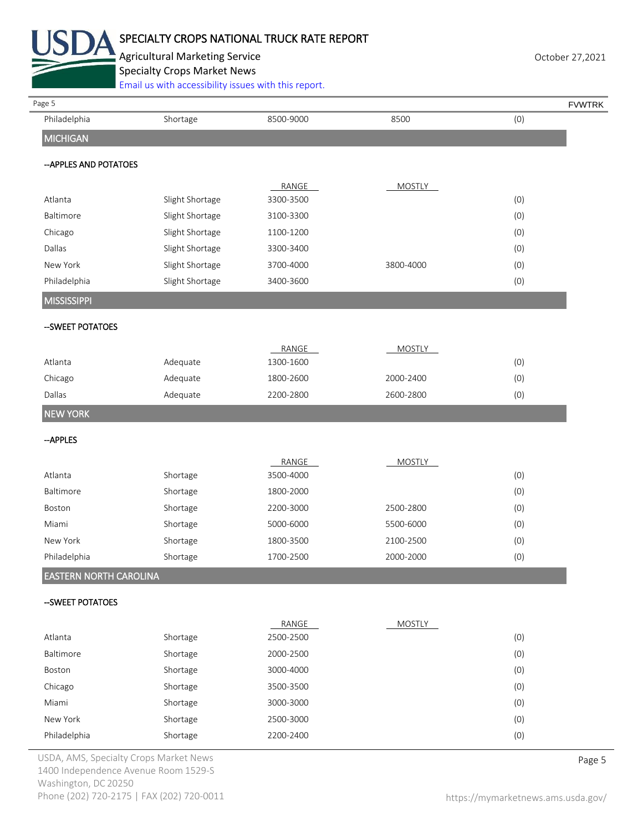

## SPECIALTY CROPS NATIONAL TRUCK RATE REPORT

Agricultural Marketing Service **Agricultural Marketing Service** Agricultural Marketing Service Specialty Crops Market News

[Email us with accessibility issues with this report.](mailto:mars@ams.usda.gov?subject=508%20Inquiry/Report)

| Page 5                 | Email us with accessibility issues with this report. |                    |               |     | <b>FVWTRK</b> |
|------------------------|------------------------------------------------------|--------------------|---------------|-----|---------------|
| Philadelphia           | Shortage                                             | 8500-9000          | 8500          | (0) |               |
| <b>MICHIGAN</b>        |                                                      |                    |               |     |               |
|                        |                                                      |                    |               |     |               |
| -- APPLES AND POTATOES |                                                      |                    |               |     |               |
|                        |                                                      | RANGE              | <b>MOSTLY</b> |     |               |
| Atlanta                | Slight Shortage                                      | 3300-3500          |               | (0) |               |
| Baltimore              | Slight Shortage                                      | 3100-3300          |               | (0) |               |
| Chicago                | Slight Shortage                                      | 1100-1200          |               | (0) |               |
| Dallas                 | Slight Shortage                                      | 3300-3400          |               | (0) |               |
| New York               | Slight Shortage                                      | 3700-4000          | 3800-4000     | (0) |               |
| Philadelphia           | Slight Shortage                                      | 3400-3600          |               | (0) |               |
| <b>MISSISSIPPI</b>     |                                                      |                    |               |     |               |
| -- SWEET POTATOES      |                                                      |                    |               |     |               |
|                        |                                                      |                    |               |     |               |
|                        |                                                      | RANGE              | <b>MOSTLY</b> |     |               |
| Atlanta                | Adequate                                             | 1300-1600          |               | (0) |               |
| Chicago                | Adequate                                             | 1800-2600          | 2000-2400     | (0) |               |
| Dallas                 | Adequate                                             | 2200-2800          | 2600-2800     | (0) |               |
| <b>NEW YORK</b>        |                                                      |                    |               |     |               |
| --APPLES               |                                                      |                    |               |     |               |
|                        |                                                      |                    |               |     |               |
| Atlanta                | Shortage                                             | RANGE<br>3500-4000 | <b>MOSTLY</b> | (0) |               |
| Baltimore              | Shortage                                             | 1800-2000          |               | (0) |               |
| Boston                 | Shortage                                             | 2200-3000          | 2500-2800     | (0) |               |
| Miami                  | Shortage                                             | 5000-6000          | 5500-6000     | (0) |               |
| New York               | Shortage                                             | 1800-3500          | 2100-2500     | (0) |               |
| Philadelphia           | Shortage                                             | 1700-2500          | 2000-2000     | (0) |               |
|                        |                                                      |                    |               |     |               |
| EASTERN NORTH CAROLINA |                                                      |                    |               |     |               |
| -- SWEET POTATOES      |                                                      |                    |               |     |               |
|                        |                                                      | RANGE              |               |     |               |
| Atlanta                | Shortage                                             | 2500-2500          | MOSTLY        | (0) |               |
| Baltimore              | Shortage                                             | 2000-2500          |               | (0) |               |
| Boston                 | Shortage                                             | 3000-4000          |               | (0) |               |
| Chicago                | Shortage                                             | 3500-3500          |               | (0) |               |
| Miami                  | Shortage                                             | 3000-3000          |               | (0) |               |
| New York               | Shortage                                             | 2500-3000          |               | (0) |               |
| Philadelphia           | Shortage                                             | 2200-2400          |               | (0) |               |
|                        |                                                      |                    |               |     |               |

USDA, AMS, Specialty Crops Market News **Page 5** 1400 Independence Avenue Room 1529-S Washington, DC 20250 Phone (202) 720-2175 | FAX (202) 720-0011 <https://mymarketnews.ams.usda.gov/>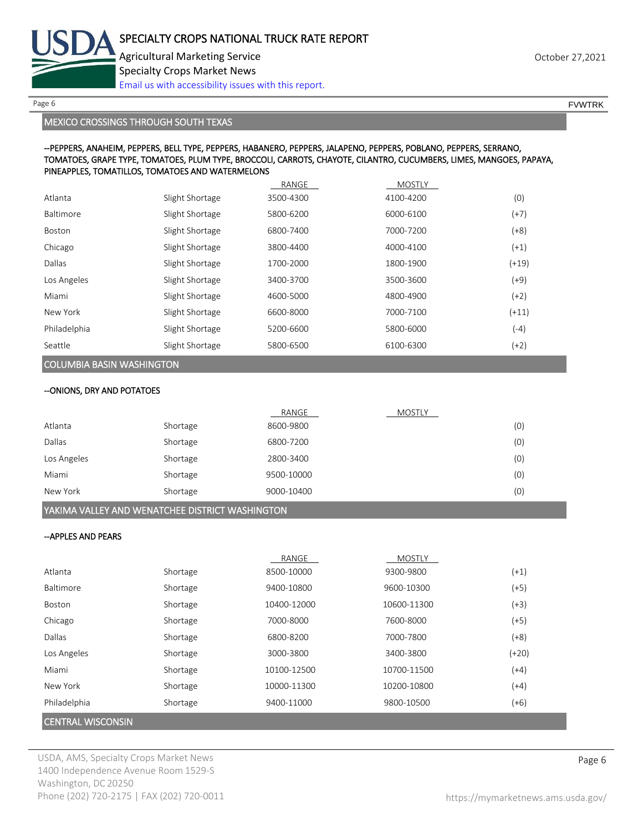

Page 6 FVWTRK

MEXICO CROSSINGS THROUGH SOUTH TEXAS

#### --PEPPERS, ANAHEIM, PEPPERS, BELL TYPE, PEPPERS, HABANERO, PEPPERS, JALAPENO, PEPPERS, POBLANO, PEPPERS, SERRANO, TOMATOES, GRAPE TYPE, TOMATOES, PLUM TYPE, BROCCOLI, CARROTS, CHAYOTE, CILANTRO, CUCUMBERS, LIMES, MANGOES, PAPAYA, PINEAPPLES, TOMATILLOS, TOMATOES AND WATERMELONS

|                  |                 | RANGE     | <b>MOSTLY</b> |         |
|------------------|-----------------|-----------|---------------|---------|
| Atlanta          | Slight Shortage | 3500-4300 | 4100-4200     | (0)     |
| <b>Baltimore</b> | Slight Shortage | 5800-6200 | 6000-6100     | $(+7)$  |
| Boston           | Slight Shortage | 6800-7400 | 7000-7200     | $(+8)$  |
| Chicago          | Slight Shortage | 3800-4400 | 4000-4100     | $(+1)$  |
| Dallas           | Slight Shortage | 1700-2000 | 1800-1900     | $(+19)$ |
| Los Angeles      | Slight Shortage | 3400-3700 | 3500-3600     | $(+9)$  |
| Miami            | Slight Shortage | 4600-5000 | 4800-4900     | $(+2)$  |
| New York         | Slight Shortage | 6600-8000 | 7000-7100     | $(+11)$ |
| Philadelphia     | Slight Shortage | 5200-6600 | 5800-6000     | $(-4)$  |
| Seattle          | Slight Shortage | 5800-6500 | 6100-6300     | $(+2)$  |

# COLUMBIA BASIN WASHINGTON

--ONIONS, DRY AND POTATOES

|             |          | RANGE      | MOSTLY |     |
|-------------|----------|------------|--------|-----|
| Atlanta     | Shortage | 8600-9800  |        | (0) |
| Dallas      | Shortage | 6800-7200  |        | (0) |
| Los Angeles | Shortage | 2800-3400  |        | (0) |
| Miami       | Shortage | 9500-10000 |        | (0) |
| New York    | Shortage | 9000-10400 |        | (0) |

### YAKIMA VALLEY AND WENATCHEE DISTRICT WASHINGTON

#### --APPLES AND PEARS

|                          |          | RANGE       | <b>MOSTLY</b> |         |
|--------------------------|----------|-------------|---------------|---------|
| Atlanta                  | Shortage | 8500-10000  | 9300-9800     | $(+1)$  |
| Baltimore                | Shortage | 9400-10800  | 9600-10300    | (+5)    |
| Boston                   | Shortage | 10400-12000 | 10600-11300   | $(+3)$  |
| Chicago                  | Shortage | 7000-8000   | 7600-8000     | (+5)    |
| Dallas                   | Shortage | 6800-8200   | 7000-7800     | (+8)    |
| Los Angeles              | Shortage | 3000-3800   | 3400-3800     | $(+20)$ |
| Miami                    | Shortage | 10100-12500 | 10700-11500   | (+4)    |
| New York                 | Shortage | 10000-11300 | 10200-10800   | (+4)    |
| Philadelphia             | Shortage | 9400-11000  | 9800-10500    | (+6)    |
| <b>CENTRAL WISCONSIN</b> |          |             |               |         |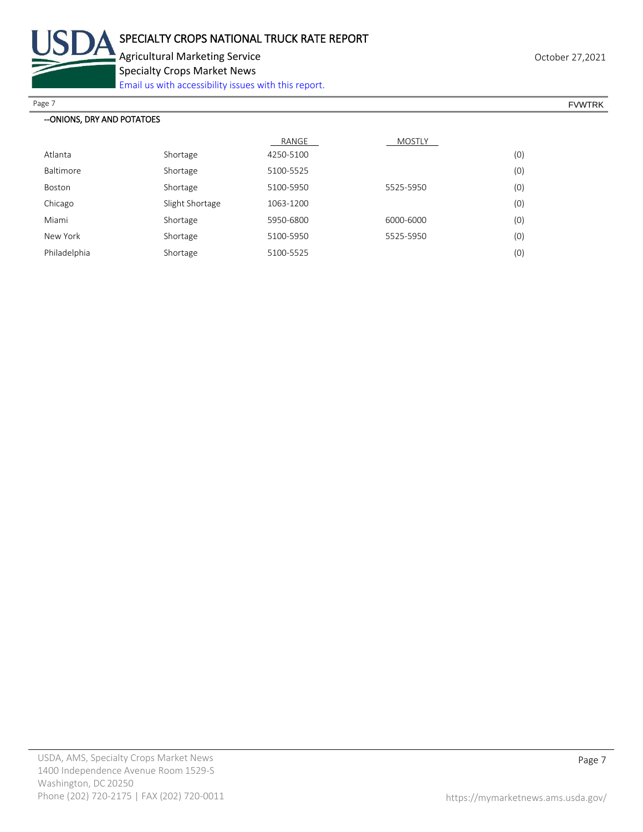

Agricultural Marketing Service **Agricultural Marketing Service** Agricultural Marketing Service

Specialty Crops Market News

[Email us with accessibility issues with this report.](mailto:mars@ams.usda.gov?subject=508%20Inquiry/Report)

Page 7 FOUNTRK And the set of the set of the set of the set of the set of the set of the set of the set of the set of the set of the set of the set of the set of the set of the set of the set of the set of the set of the s

| --ONIONS, DRY AND POTATOES |                 |           |               |     |
|----------------------------|-----------------|-----------|---------------|-----|
|                            |                 | RANGE     | <b>MOSTLY</b> |     |
| Atlanta                    | Shortage        | 4250-5100 |               | (0) |
| Baltimore                  | Shortage        | 5100-5525 |               | (0) |
| Boston                     | Shortage        | 5100-5950 | 5525-5950     | (0) |
| Chicago                    | Slight Shortage | 1063-1200 |               | (0) |
| Miami                      | Shortage        | 5950-6800 | 6000-6000     | (0) |
| New York                   | Shortage        | 5100-5950 | 5525-5950     | (0) |
| Philadelphia               | Shortage        | 5100-5525 |               | (0) |
|                            |                 |           |               |     |